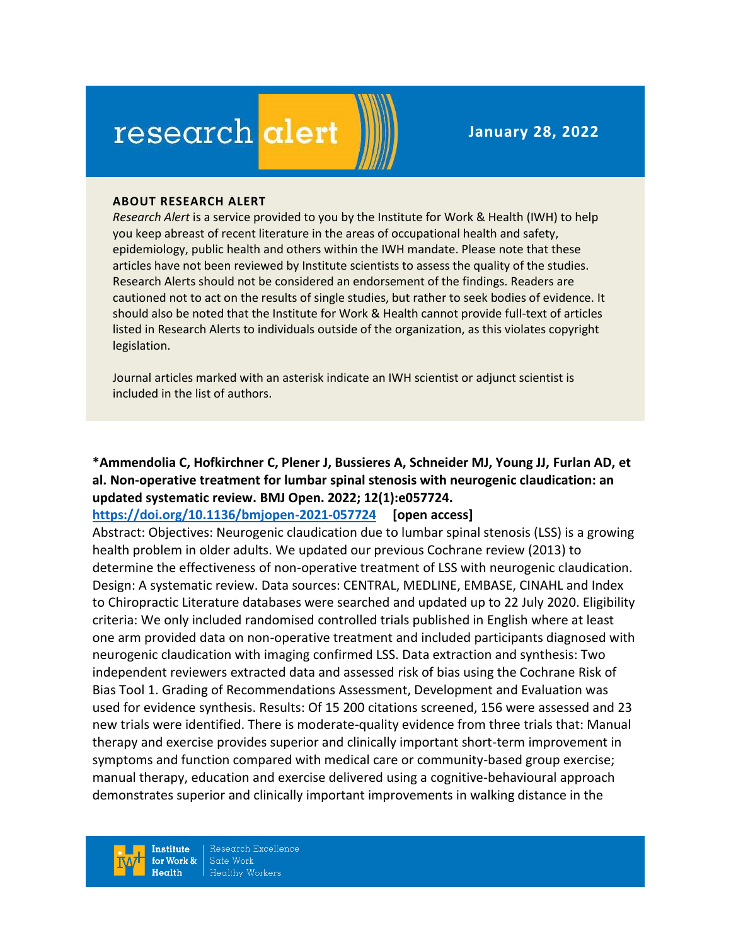# research alert

**January 28, 2022**

#### **ABOUT RESEARCH ALERT**

*Research Alert* is a service provided to you by the Institute for Work & Health (IWH) to help you keep abreast of recent literature in the areas of occupational health and safety, epidemiology, public health and others within the IWH mandate. Please note that these articles have not been reviewed by Institute scientists to assess the quality of the studies. Research Alerts should not be considered an endorsement of the findings. Readers are cautioned not to act on the results of single studies, but rather to seek bodies of evidence. It should also be noted that the Institute for Work & Health cannot provide full-text of articles listed in Research Alerts to individuals outside of the organization, as this violates copyright legislation.

Journal articles marked with an asterisk indicate an IWH scientist or adjunct scientist is included in the list of authors.

## **\*Ammendolia C, Hofkirchner C, Plener J, Bussieres A, Schneider MJ, Young JJ, Furlan AD, et al. Non-operative treatment for lumbar spinal stenosis with neurogenic claudication: an updated systematic review. BMJ Open. 2022; 12(1):e057724.**

**<https://doi.org/10.1136/bmjopen-2021-057724> [open access]**

Abstract: Objectives: Neurogenic claudication due to lumbar spinal stenosis (LSS) is a growing health problem in older adults. We updated our previous Cochrane review (2013) to determine the effectiveness of non-operative treatment of LSS with neurogenic claudication. Design: A systematic review. Data sources: CENTRAL, MEDLINE, EMBASE, CINAHL and Index to Chiropractic Literature databases were searched and updated up to 22 July 2020. Eligibility criteria: We only included randomised controlled trials published in English where at least one arm provided data on non-operative treatment and included participants diagnosed with neurogenic claudication with imaging confirmed LSS. Data extraction and synthesis: Two independent reviewers extracted data and assessed risk of bias using the Cochrane Risk of Bias Tool 1. Grading of Recommendations Assessment, Development and Evaluation was used for evidence synthesis. Results: Of 15 200 citations screened, 156 were assessed and 23 new trials were identified. There is moderate-quality evidence from three trials that: Manual therapy and exercise provides superior and clinically important short-term improvement in symptoms and function compared with medical care or community-based group exercise; manual therapy, education and exercise delivered using a cognitive-behavioural approach demonstrates superior and clinically important improvements in walking distance in the

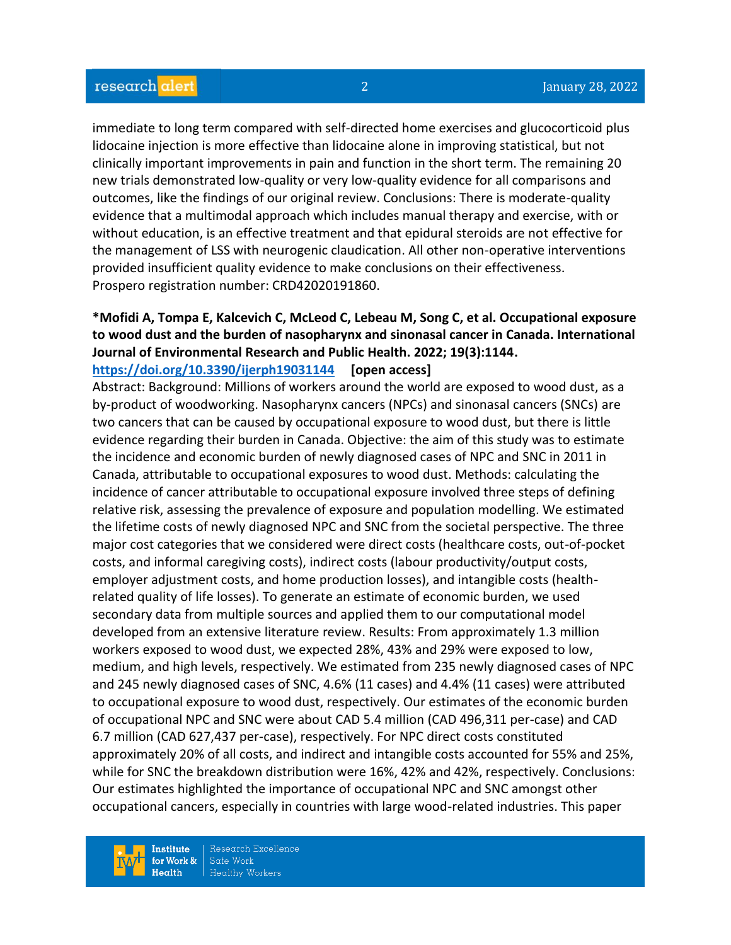immediate to long term compared with self-directed home exercises and glucocorticoid plus lidocaine injection is more effective than lidocaine alone in improving statistical, but not clinically important improvements in pain and function in the short term. The remaining 20 new trials demonstrated low-quality or very low-quality evidence for all comparisons and outcomes, like the findings of our original review. Conclusions: There is moderate-quality evidence that a multimodal approach which includes manual therapy and exercise, with or without education, is an effective treatment and that epidural steroids are not effective for the management of LSS with neurogenic claudication. All other non-operative interventions provided insufficient quality evidence to make conclusions on their effectiveness. Prospero registration number: CRD42020191860.

#### **\*Mofidi A, Tompa E, Kalcevich C, McLeod C, Lebeau M, Song C, et al. Occupational exposure to wood dust and the burden of nasopharynx and sinonasal cancer in Canada. International Journal of Environmental Research and Public Health. 2022; 19(3):1144. <https://doi.org/10.3390/ijerph19031144> [open access]**

Abstract: Background: Millions of workers around the world are exposed to wood dust, as a by-product of woodworking. Nasopharynx cancers (NPCs) and sinonasal cancers (SNCs) are two cancers that can be caused by occupational exposure to wood dust, but there is little evidence regarding their burden in Canada. Objective: the aim of this study was to estimate the incidence and economic burden of newly diagnosed cases of NPC and SNC in 2011 in Canada, attributable to occupational exposures to wood dust. Methods: calculating the incidence of cancer attributable to occupational exposure involved three steps of defining relative risk, assessing the prevalence of exposure and population modelling. We estimated the lifetime costs of newly diagnosed NPC and SNC from the societal perspective. The three major cost categories that we considered were direct costs (healthcare costs, out-of-pocket costs, and informal caregiving costs), indirect costs (labour productivity/output costs, employer adjustment costs, and home production losses), and intangible costs (healthrelated quality of life losses). To generate an estimate of economic burden, we used secondary data from multiple sources and applied them to our computational model developed from an extensive literature review. Results: From approximately 1.3 million workers exposed to wood dust, we expected 28%, 43% and 29% were exposed to low, medium, and high levels, respectively. We estimated from 235 newly diagnosed cases of NPC and 245 newly diagnosed cases of SNC, 4.6% (11 cases) and 4.4% (11 cases) were attributed to occupational exposure to wood dust, respectively. Our estimates of the economic burden of occupational NPC and SNC were about CAD 5.4 million (CAD 496,311 per-case) and CAD 6.7 million (CAD 627,437 per-case), respectively. For NPC direct costs constituted approximately 20% of all costs, and indirect and intangible costs accounted for 55% and 25%, while for SNC the breakdown distribution were 16%, 42% and 42%, respectively. Conclusions: Our estimates highlighted the importance of occupational NPC and SNC amongst other occupational cancers, especially in countries with large wood-related industries. This paper

**Institute** for Work &  $Heath$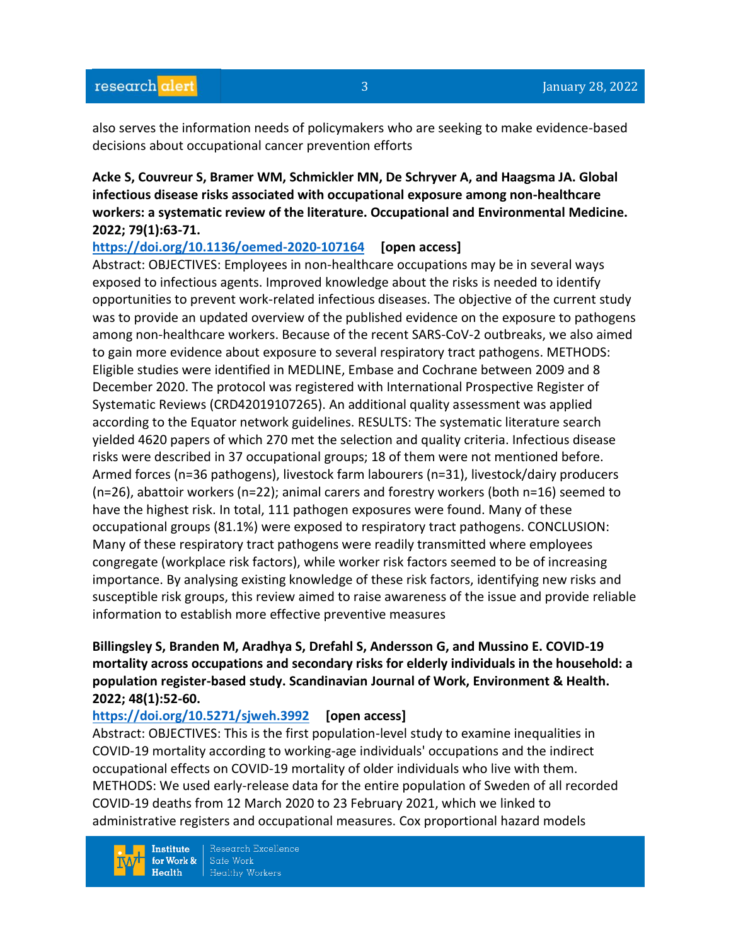also serves the information needs of policymakers who are seeking to make evidence-based decisions about occupational cancer prevention efforts

## **Acke S, Couvreur S, Bramer WM, Schmickler MN, De Schryver A, and Haagsma JA. Global infectious disease risks associated with occupational exposure among non-healthcare workers: a systematic review of the literature. Occupational and Environmental Medicine. 2022; 79(1):63-71.**

**<https://doi.org/10.1136/oemed-2020-107164> [open access]**

Abstract: OBJECTIVES: Employees in non-healthcare occupations may be in several ways exposed to infectious agents. Improved knowledge about the risks is needed to identify opportunities to prevent work-related infectious diseases. The objective of the current study was to provide an updated overview of the published evidence on the exposure to pathogens among non-healthcare workers. Because of the recent SARS-CoV-2 outbreaks, we also aimed to gain more evidence about exposure to several respiratory tract pathogens. METHODS: Eligible studies were identified in MEDLINE, Embase and Cochrane between 2009 and 8 December 2020. The protocol was registered with International Prospective Register of Systematic Reviews (CRD42019107265). An additional quality assessment was applied according to the Equator network guidelines. RESULTS: The systematic literature search yielded 4620 papers of which 270 met the selection and quality criteria. Infectious disease risks were described in 37 occupational groups; 18 of them were not mentioned before. Armed forces (n=36 pathogens), livestock farm labourers (n=31), livestock/dairy producers (n=26), abattoir workers (n=22); animal carers and forestry workers (both n=16) seemed to have the highest risk. In total, 111 pathogen exposures were found. Many of these occupational groups (81.1%) were exposed to respiratory tract pathogens. CONCLUSION: Many of these respiratory tract pathogens were readily transmitted where employees congregate (workplace risk factors), while worker risk factors seemed to be of increasing importance. By analysing existing knowledge of these risk factors, identifying new risks and susceptible risk groups, this review aimed to raise awareness of the issue and provide reliable information to establish more effective preventive measures

## **Billingsley S, Branden M, Aradhya S, Drefahl S, Andersson G, and Mussino E. COVID-19 mortality across occupations and secondary risks for elderly individuals in the household: a population register-based study. Scandinavian Journal of Work, Environment & Health. 2022; 48(1):52-60.**

## **<https://doi.org/10.5271/sjweh.3992> [open access]**

Abstract: OBJECTIVES: This is the first population-level study to examine inequalities in COVID-19 mortality according to working-age individuals' occupations and the indirect occupational effects on COVID-19 mortality of older individuals who live with them. METHODS: We used early-release data for the entire population of Sweden of all recorded COVID-19 deaths from 12 March 2020 to 23 February 2021, which we linked to administrative registers and occupational measures. Cox proportional hazard models

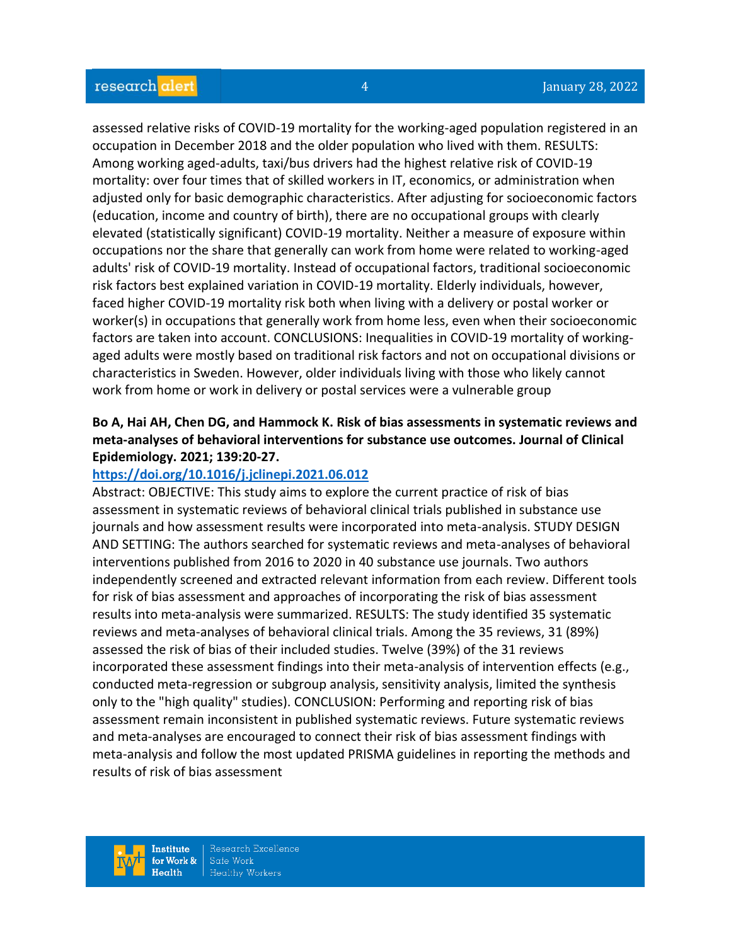assessed relative risks of COVID-19 mortality for the working-aged population registered in an occupation in December 2018 and the older population who lived with them. RESULTS: Among working aged-adults, taxi/bus drivers had the highest relative risk of COVID-19 mortality: over four times that of skilled workers in IT, economics, or administration when adjusted only for basic demographic characteristics. After adjusting for socioeconomic factors (education, income and country of birth), there are no occupational groups with clearly elevated (statistically significant) COVID-19 mortality. Neither a measure of exposure within occupations nor the share that generally can work from home were related to working-aged adults' risk of COVID-19 mortality. Instead of occupational factors, traditional socioeconomic risk factors best explained variation in COVID-19 mortality. Elderly individuals, however, faced higher COVID-19 mortality risk both when living with a delivery or postal worker or worker(s) in occupations that generally work from home less, even when their socioeconomic factors are taken into account. CONCLUSIONS: Inequalities in COVID-19 mortality of workingaged adults were mostly based on traditional risk factors and not on occupational divisions or characteristics in Sweden. However, older individuals living with those who likely cannot work from home or work in delivery or postal services were a vulnerable group

## **Bo A, Hai AH, Chen DG, and Hammock K. Risk of bias assessments in systematic reviews and meta-analyses of behavioral interventions for substance use outcomes. Journal of Clinical Epidemiology. 2021; 139:20-27.**

#### **<https://doi.org/10.1016/j.jclinepi.2021.06.012>**

Abstract: OBJECTIVE: This study aims to explore the current practice of risk of bias assessment in systematic reviews of behavioral clinical trials published in substance use journals and how assessment results were incorporated into meta-analysis. STUDY DESIGN AND SETTING: The authors searched for systematic reviews and meta-analyses of behavioral interventions published from 2016 to 2020 in 40 substance use journals. Two authors independently screened and extracted relevant information from each review. Different tools for risk of bias assessment and approaches of incorporating the risk of bias assessment results into meta-analysis were summarized. RESULTS: The study identified 35 systematic reviews and meta-analyses of behavioral clinical trials. Among the 35 reviews, 31 (89%) assessed the risk of bias of their included studies. Twelve (39%) of the 31 reviews incorporated these assessment findings into their meta-analysis of intervention effects (e.g., conducted meta-regression or subgroup analysis, sensitivity analysis, limited the synthesis only to the "high quality" studies). CONCLUSION: Performing and reporting risk of bias assessment remain inconsistent in published systematic reviews. Future systematic reviews and meta-analyses are encouraged to connect their risk of bias assessment findings with meta-analysis and follow the most updated PRISMA guidelines in reporting the methods and results of risk of bias assessment

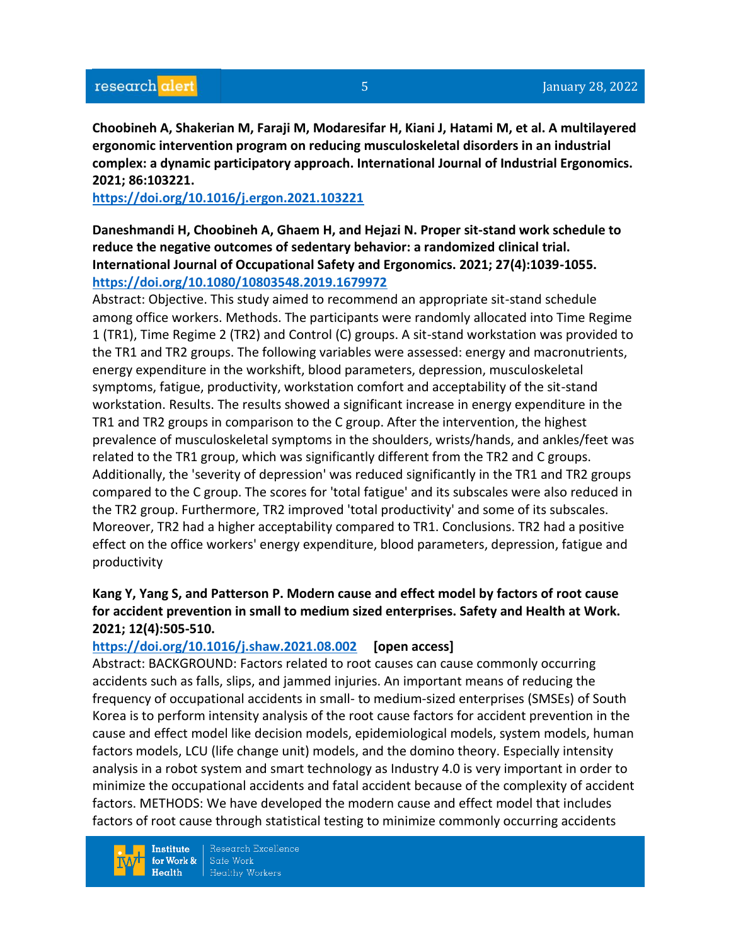**Choobineh A, Shakerian M, Faraji M, Modaresifar H, Kiani J, Hatami M, et al. A multilayered ergonomic intervention program on reducing musculoskeletal disorders in an industrial complex: a dynamic participatory approach. International Journal of Industrial Ergonomics. 2021; 86:103221.**

#### **<https://doi.org/10.1016/j.ergon.2021.103221>**

**Daneshmandi H, Choobineh A, Ghaem H, and Hejazi N. Proper sit-stand work schedule to reduce the negative outcomes of sedentary behavior: a randomized clinical trial. International Journal of Occupational Safety and Ergonomics. 2021; 27(4):1039-1055. <https://doi.org/10.1080/10803548.2019.1679972>** 

Abstract: Objective. This study aimed to recommend an appropriate sit-stand schedule among office workers. Methods. The participants were randomly allocated into Time Regime 1 (TR1), Time Regime 2 (TR2) and Control (C) groups. A sit-stand workstation was provided to the TR1 and TR2 groups. The following variables were assessed: energy and macronutrients, energy expenditure in the workshift, blood parameters, depression, musculoskeletal symptoms, fatigue, productivity, workstation comfort and acceptability of the sit-stand workstation. Results. The results showed a significant increase in energy expenditure in the TR1 and TR2 groups in comparison to the C group. After the intervention, the highest prevalence of musculoskeletal symptoms in the shoulders, wrists/hands, and ankles/feet was related to the TR1 group, which was significantly different from the TR2 and C groups. Additionally, the 'severity of depression' was reduced significantly in the TR1 and TR2 groups compared to the C group. The scores for 'total fatigue' and its subscales were also reduced in the TR2 group. Furthermore, TR2 improved 'total productivity' and some of its subscales. Moreover, TR2 had a higher acceptability compared to TR1. Conclusions. TR2 had a positive effect on the office workers' energy expenditure, blood parameters, depression, fatigue and productivity

## **Kang Y, Yang S, and Patterson P. Modern cause and effect model by factors of root cause for accident prevention in small to medium sized enterprises. Safety and Health at Work. 2021; 12(4):505-510.**

#### **<https://doi.org/10.1016/j.shaw.2021.08.002> [open access]**

Abstract: BACKGROUND: Factors related to root causes can cause commonly occurring accidents such as falls, slips, and jammed injuries. An important means of reducing the frequency of occupational accidents in small- to medium-sized enterprises (SMSEs) of South Korea is to perform intensity analysis of the root cause factors for accident prevention in the cause and effect model like decision models, epidemiological models, system models, human factors models, LCU (life change unit) models, and the domino theory. Especially intensity analysis in a robot system and smart technology as Industry 4.0 is very important in order to minimize the occupational accidents and fatal accident because of the complexity of accident factors. METHODS: We have developed the modern cause and effect model that includes factors of root cause through statistical testing to minimize commonly occurring accidents

**Institute** for Work &  $Health$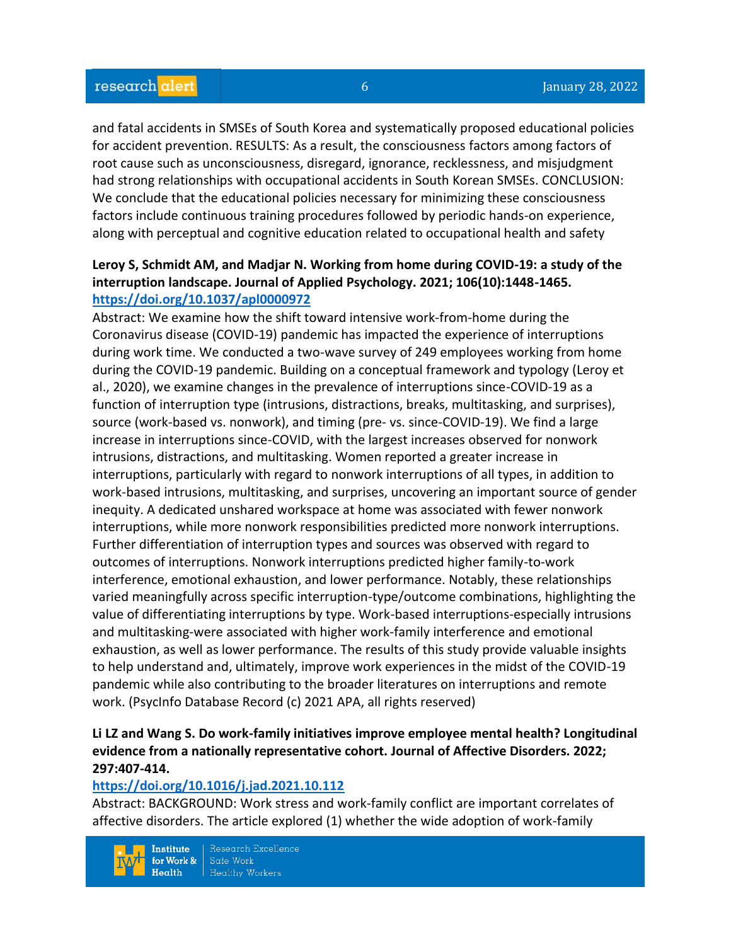and fatal accidents in SMSEs of South Korea and systematically proposed educational policies for accident prevention. RESULTS: As a result, the consciousness factors among factors of root cause such as unconsciousness, disregard, ignorance, recklessness, and misjudgment had strong relationships with occupational accidents in South Korean SMSEs. CONCLUSION: We conclude that the educational policies necessary for minimizing these consciousness factors include continuous training procedures followed by periodic hands-on experience, along with perceptual and cognitive education related to occupational health and safety

## **Leroy S, Schmidt AM, and Madjar N. Working from home during COVID-19: a study of the interruption landscape. Journal of Applied Psychology. 2021; 106(10):1448-1465. <https://doi.org/10.1037/apl0000972>**

Abstract: We examine how the shift toward intensive work-from-home during the Coronavirus disease (COVID-19) pandemic has impacted the experience of interruptions during work time. We conducted a two-wave survey of 249 employees working from home during the COVID-19 pandemic. Building on a conceptual framework and typology (Leroy et al., 2020), we examine changes in the prevalence of interruptions since-COVID-19 as a function of interruption type (intrusions, distractions, breaks, multitasking, and surprises), source (work-based vs. nonwork), and timing (pre- vs. since-COVID-19). We find a large increase in interruptions since-COVID, with the largest increases observed for nonwork intrusions, distractions, and multitasking. Women reported a greater increase in interruptions, particularly with regard to nonwork interruptions of all types, in addition to work-based intrusions, multitasking, and surprises, uncovering an important source of gender inequity. A dedicated unshared workspace at home was associated with fewer nonwork interruptions, while more nonwork responsibilities predicted more nonwork interruptions. Further differentiation of interruption types and sources was observed with regard to outcomes of interruptions. Nonwork interruptions predicted higher family-to-work interference, emotional exhaustion, and lower performance. Notably, these relationships varied meaningfully across specific interruption-type/outcome combinations, highlighting the value of differentiating interruptions by type. Work-based interruptions-especially intrusions and multitasking-were associated with higher work-family interference and emotional exhaustion, as well as lower performance. The results of this study provide valuable insights to help understand and, ultimately, improve work experiences in the midst of the COVID-19 pandemic while also contributing to the broader literatures on interruptions and remote work. (PsycInfo Database Record (c) 2021 APA, all rights reserved)

## **Li LZ and Wang S. Do work-family initiatives improve employee mental health? Longitudinal evidence from a nationally representative cohort. Journal of Affective Disorders. 2022; 297:407-414.**

#### **<https://doi.org/10.1016/j.jad.2021.10.112>**

Abstract: BACKGROUND: Work stress and work-family conflict are important correlates of affective disorders. The article explored (1) whether the wide adoption of work-family

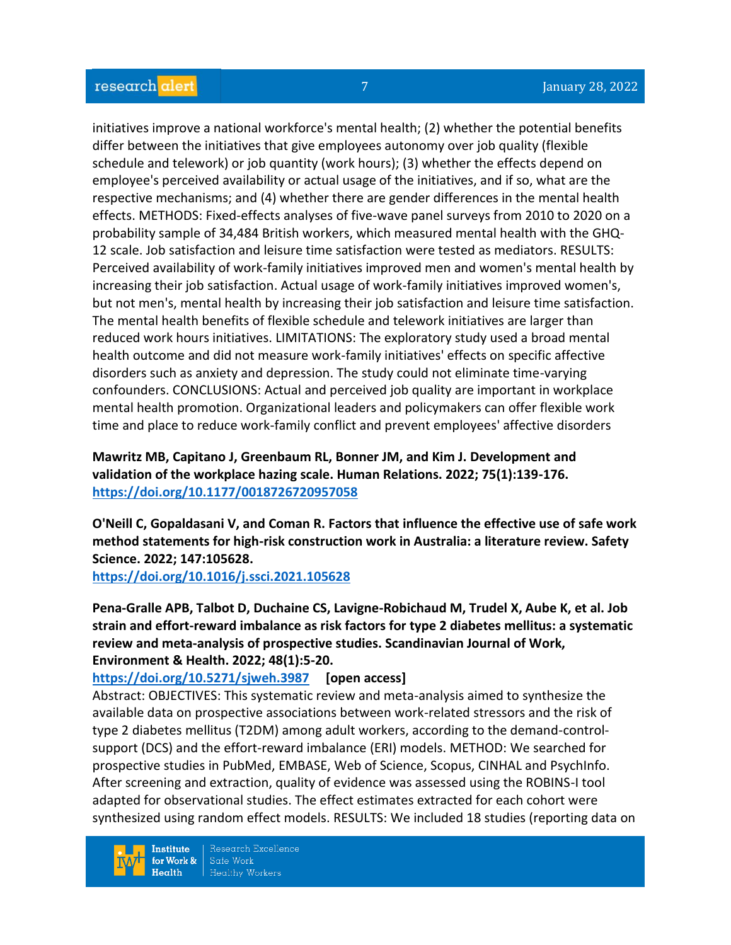initiatives improve a national workforce's mental health; (2) whether the potential benefits differ between the initiatives that give employees autonomy over job quality (flexible schedule and telework) or job quantity (work hours); (3) whether the effects depend on employee's perceived availability or actual usage of the initiatives, and if so, what are the respective mechanisms; and (4) whether there are gender differences in the mental health effects. METHODS: Fixed-effects analyses of five-wave panel surveys from 2010 to 2020 on a probability sample of 34,484 British workers, which measured mental health with the GHQ-12 scale. Job satisfaction and leisure time satisfaction were tested as mediators. RESULTS: Perceived availability of work-family initiatives improved men and women's mental health by increasing their job satisfaction. Actual usage of work-family initiatives improved women's, but not men's, mental health by increasing their job satisfaction and leisure time satisfaction. The mental health benefits of flexible schedule and telework initiatives are larger than reduced work hours initiatives. LIMITATIONS: The exploratory study used a broad mental health outcome and did not measure work-family initiatives' effects on specific affective disorders such as anxiety and depression. The study could not eliminate time-varying confounders. CONCLUSIONS: Actual and perceived job quality are important in workplace mental health promotion. Organizational leaders and policymakers can offer flexible work time and place to reduce work-family conflict and prevent employees' affective disorders

## **Mawritz MB, Capitano J, Greenbaum RL, Bonner JM, and Kim J. Development and validation of the workplace hazing scale. Human Relations. 2022; 75(1):139-176. <https://doi.org/10.1177/0018726720957058>**

**O'Neill C, Gopaldasani V, and Coman R. Factors that influence the effective use of safe work method statements for high-risk construction work in Australia: a literature review. Safety Science. 2022; 147:105628.**

**<https://doi.org/10.1016/j.ssci.2021.105628>** 

**Pena-Gralle APB, Talbot D, Duchaine CS, Lavigne-Robichaud M, Trudel X, Aube K, et al. Job strain and effort-reward imbalance as risk factors for type 2 diabetes mellitus: a systematic review and meta-analysis of prospective studies. Scandinavian Journal of Work, Environment & Health. 2022; 48(1):5-20.** 

## **<https://doi.org/10.5271/sjweh.3987> [open access]**

Abstract: OBJECTIVES: This systematic review and meta-analysis aimed to synthesize the available data on prospective associations between work-related stressors and the risk of type 2 diabetes mellitus (T2DM) among adult workers, according to the demand-controlsupport (DCS) and the effort-reward imbalance (ERI) models. METHOD: We searched for prospective studies in PubMed, EMBASE, Web of Science, Scopus, CINHAL and PsychInfo. After screening and extraction, quality of evidence was assessed using the ROBINS-I tool adapted for observational studies. The effect estimates extracted for each cohort were synthesized using random effect models. RESULTS: We included 18 studies (reporting data on

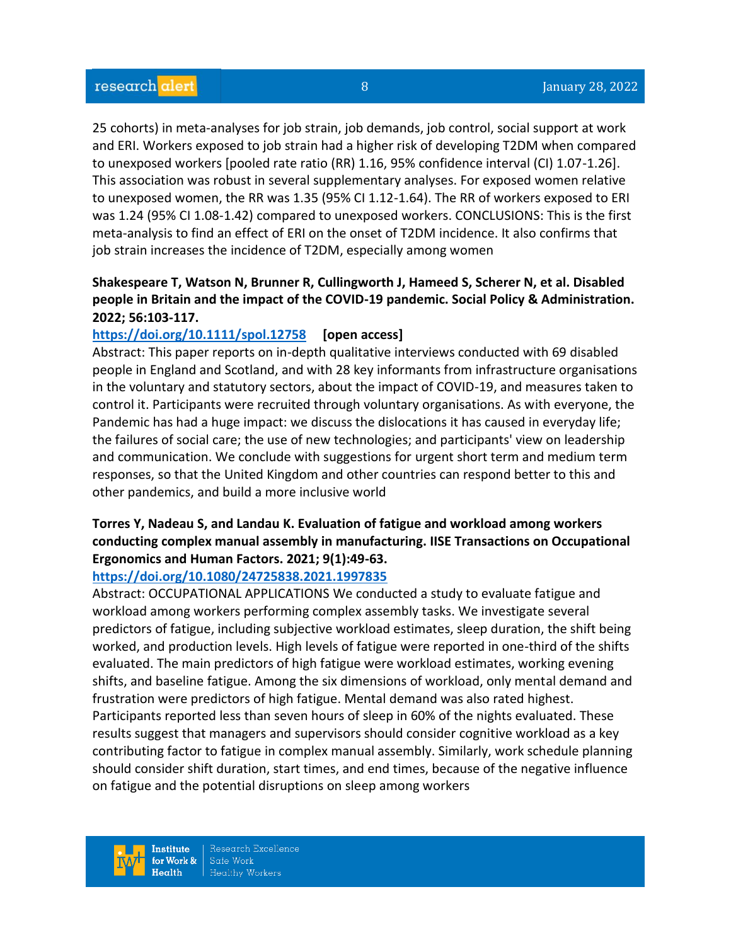25 cohorts) in meta-analyses for job strain, job demands, job control, social support at work and ERI. Workers exposed to job strain had a higher risk of developing T2DM when compared to unexposed workers [pooled rate ratio (RR) 1.16, 95% confidence interval (CI) 1.07-1.26]. This association was robust in several supplementary analyses. For exposed women relative to unexposed women, the RR was 1.35 (95% CI 1.12-1.64). The RR of workers exposed to ERI was 1.24 (95% CI 1.08-1.42) compared to unexposed workers. CONCLUSIONS: This is the first meta-analysis to find an effect of ERI on the onset of T2DM incidence. It also confirms that job strain increases the incidence of T2DM, especially among women

## **Shakespeare T, Watson N, Brunner R, Cullingworth J, Hameed S, Scherer N, et al. Disabled people in Britain and the impact of the COVID-19 pandemic. Social Policy & Administration. 2022; 56:103-117.**

#### **<https://doi.org/10.1111/spol.12758> [open access]**

Abstract: This paper reports on in-depth qualitative interviews conducted with 69 disabled people in England and Scotland, and with 28 key informants from infrastructure organisations in the voluntary and statutory sectors, about the impact of COVID-19, and measures taken to control it. Participants were recruited through voluntary organisations. As with everyone, the Pandemic has had a huge impact: we discuss the dislocations it has caused in everyday life; the failures of social care; the use of new technologies; and participants' view on leadership and communication. We conclude with suggestions for urgent short term and medium term responses, so that the United Kingdom and other countries can respond better to this and other pandemics, and build a more inclusive world

## **Torres Y, Nadeau S, and Landau K. Evaluation of fatigue and workload among workers conducting complex manual assembly in manufacturing. IISE Transactions on Occupational Ergonomics and Human Factors. 2021; 9(1):49-63.**

#### **<https://doi.org/10.1080/24725838.2021.1997835>**

Abstract: OCCUPATIONAL APPLICATIONS We conducted a study to evaluate fatigue and workload among workers performing complex assembly tasks. We investigate several predictors of fatigue, including subjective workload estimates, sleep duration, the shift being worked, and production levels. High levels of fatigue were reported in one-third of the shifts evaluated. The main predictors of high fatigue were workload estimates, working evening shifts, and baseline fatigue. Among the six dimensions of workload, only mental demand and frustration were predictors of high fatigue. Mental demand was also rated highest. Participants reported less than seven hours of sleep in 60% of the nights evaluated. These results suggest that managers and supervisors should consider cognitive workload as a key contributing factor to fatigue in complex manual assembly. Similarly, work schedule planning should consider shift duration, start times, and end times, because of the negative influence on fatigue and the potential disruptions on sleep among workers